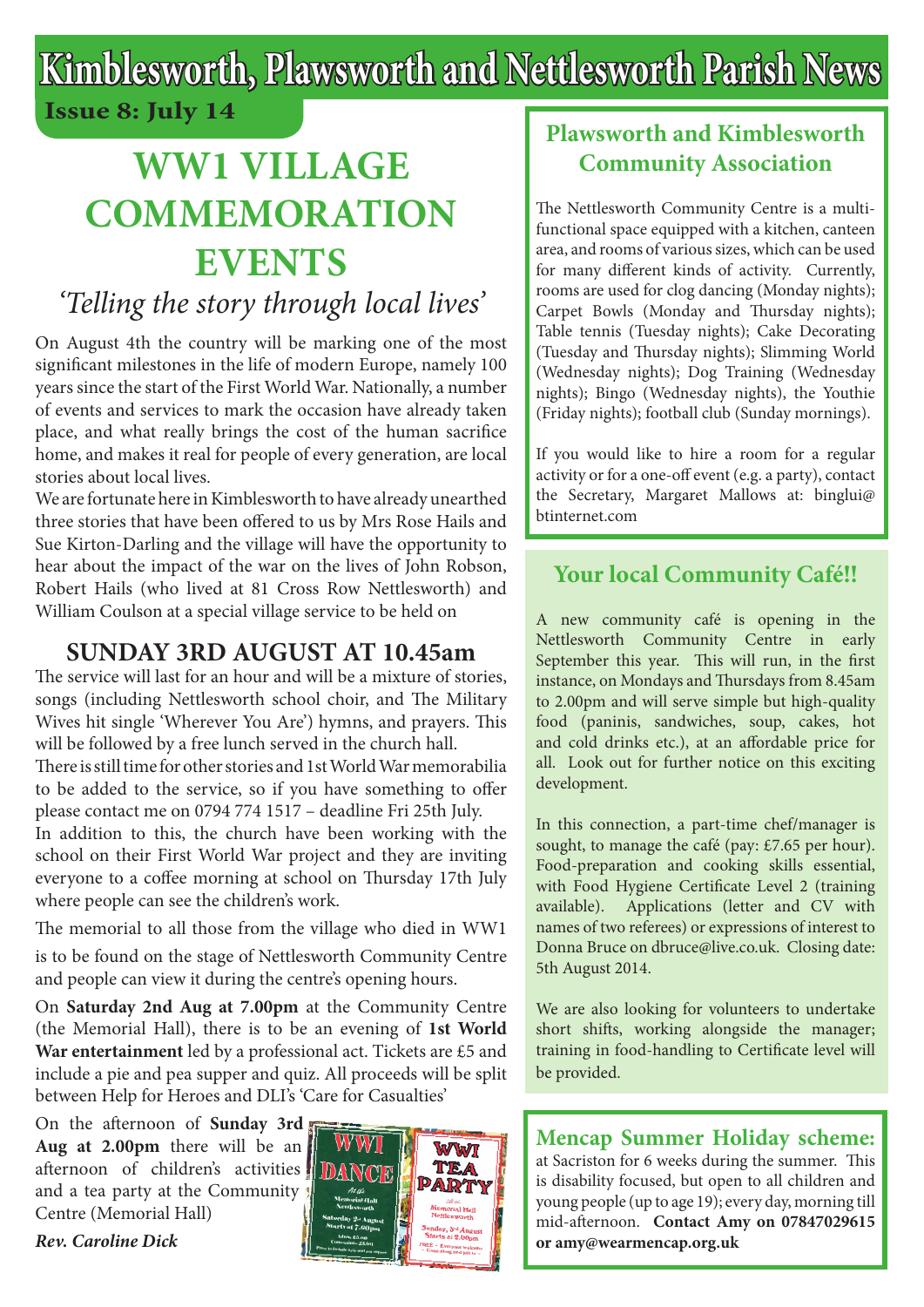# **Kimblesworth, Plawsworth and Nettlesworth Parish News Issue 8: July 14**

# **WW1 VILLAGE COMMEMORATION EVENTS**

## *'Telling the story through local lives'*

On August 4th the country will be marking one of the most significant milestones in the life of modern Europe, namely 100 years since the start of the First World War. Nationally, a number of events and services to mark the occasion have already taken place, and what really brings the cost of the human sacrifice home, and makes it real for people of every generation, are local stories about local lives.

We are fortunate here in Kimblesworth to have already unearthed three stories that have been offered to us by Mrs Rose Hails and Sue Kirton-Darling and the village will have the opportunity to hear about the impact of the war on the lives of John Robson, Robert Hails (who lived at 81 Cross Row Nettlesworth) and William Coulson at a special village service to be held on

### **SUNDAY 3RD AUGUST AT 10.45am**

The service will last for an hour and will be a mixture of stories, songs (including Nettlesworth school choir, and The Military Wives hit single 'Wherever You Are') hymns, and prayers. This will be followed by a free lunch served in the church hall.

There is still time for other stories and 1st World War memorabilia to be added to the service, so if you have something to offer please contact me on 0794 774 1517 – deadline Fri 25th July.

In addition to this, the church have been working with the school on their First World War project and they are inviting everyone to a coffee morning at school on Thursday 17th July where people can see the children's work.

The memorial to all those from the village who died in WW1

is to be found on the stage of Nettlesworth Community Centre and people can view it during the centre's opening hours.

On **Saturday 2nd Aug at 7.00pm** at the Community Centre (the Memorial Hall), there is to be an evening of **1st World War entertainment** led by a professional act. Tickets are £5 and include a pie and pea supper and quiz. All proceeds will be split between Help for Heroes and DLI's 'Care for Casualties'

On the afternoon of **Sunday 3rd Aug at 2.00pm** there will be an afternoon of children's activities and a tea party at the Community Centre (Memorial Hall)

*Rev. Caroline Dick*



#### **Plawsworth and Kimblesworth Community Association**

The Nettlesworth Community Centre is a multifunctional space equipped with a kitchen, canteen area, and rooms of various sizes, which can be used for many different kinds of activity. Currently, rooms are used for clog dancing (Monday nights); Carpet Bowls (Monday and Thursday nights); Table tennis (Tuesday nights); Cake Decorating (Tuesday and Thursday nights); Slimming World (Wednesday nights); Dog Training (Wednesday nights); Bingo (Wednesday nights), the Youthie (Friday nights); football club (Sunday mornings).

If you would like to hire a room for a regular activity or for a one-off event (e.g. a party), contact the Secretary, Margaret Mallows at: binglui@ btinternet.com

#### **Your local Community Café!!**

A new community café is opening in the Nettlesworth Community Centre in early September this year. This will run, in the first instance, on Mondays and Thursdays from 8.45am to 2.00pm and will serve simple but high-quality food (paninis, sandwiches, soup, cakes, hot and cold drinks etc.), at an affordable price for all. Look out for further notice on this exciting development.

In this connection, a part-time chef/manager is sought, to manage the café (pay: £7.65 per hour). Food-preparation and cooking skills essential, with Food Hygiene Certificate Level 2 (training available). Applications (letter and CV with names of two referees) or expressions of interest to Donna Bruce on dbruce@live.co.uk. Closing date: 5th August 2014.

We are also looking for volunteers to undertake short shifts, working alongside the manager; training in food-handling to Certificate level will be provided.

**Mencap Summer Holiday scheme:** at Sacriston for 6 weeks during the summer. This is disability focused, but open to all children and young people (up to age 19); every day, morning till mid-afternoon. **Contact Amy on 07847029615 or amy@wearmencap.org.uk**